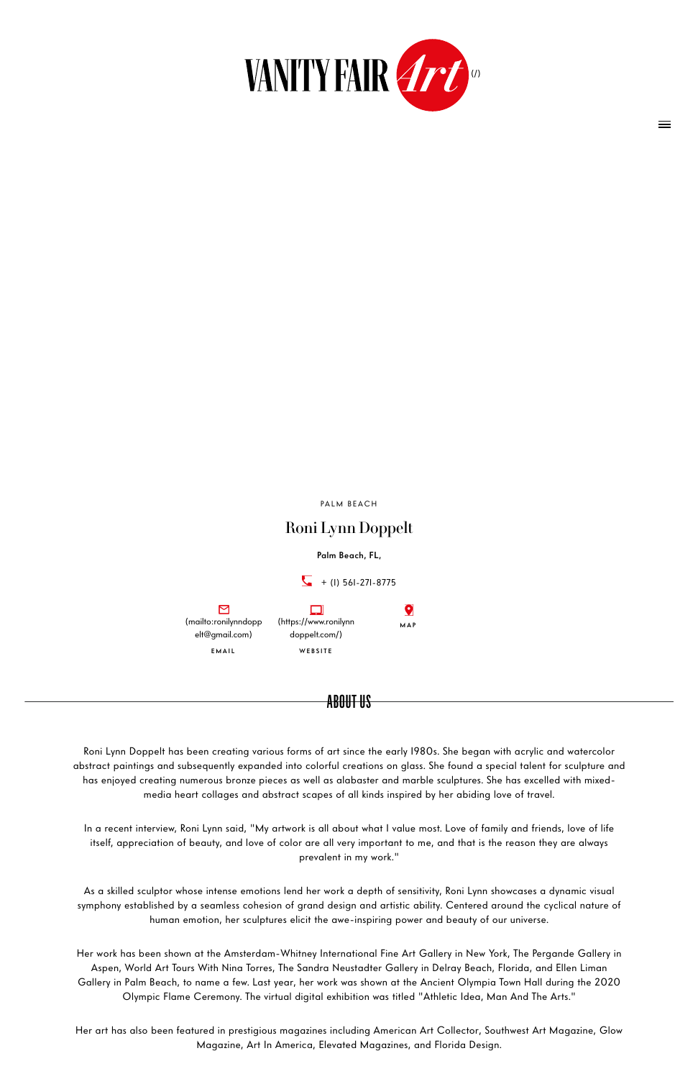## Roni Lynn Doppelt

#### Palm Beach, FL,



Roni Lynn Doppelt has been creating various forms of art since the early 1980s. She began with acrylic and watercolor abstract paintings and subsequently expanded into colorful creations on glass. She found a special talent for sculpture and has enjoyed creating numerous bronze pieces as well as alabaster and marble sculptures. She has excelled with mixedmedia heart collages and abstract scapes of all kinds inspired by her abiding love of travel.

In a recent interview, Roni Lynn said, "My artwork is all about what I value most. Love of family and friends, love of life itself, appreciation of beauty, and love of color are all very important to me, and that is the reason they are always prevalent in my work."

As a skilled sculptor whose intense emotions lend her work a depth of sensitivity, Roni Lynn showcases a dynamic visual symphony established by a seamless cohesion of grand design and artistic ability. Centered around the cyclical nature of human emotion, her sculptures elicit the awe-inspiring power and beauty of our universe.

Her work has been shown at the Amsterdam-Whitney International Fine Art Gallery in New York, The Pergande Gallery in Aspen, World Art Tours With Nina Torres, The Sandra Neustadter Gallery in Delray Beach, Florida, and Ellen Liman Gallery in Palm Beach, to name a few. Last year, her work was shown at the Ancient Olympia Town Hall during the 2020 Olympic Flame Ceremony. The virtual digital exhibition was titled "Athletic Idea, Man And The Arts."

Her art has also been featured in prestigious magazines including American Art Collector, Southwest Art Magazine, Glow Magazine, Art In America, Elevated Magazines, and Florida Design.

### ABOUT US



PALM BEACH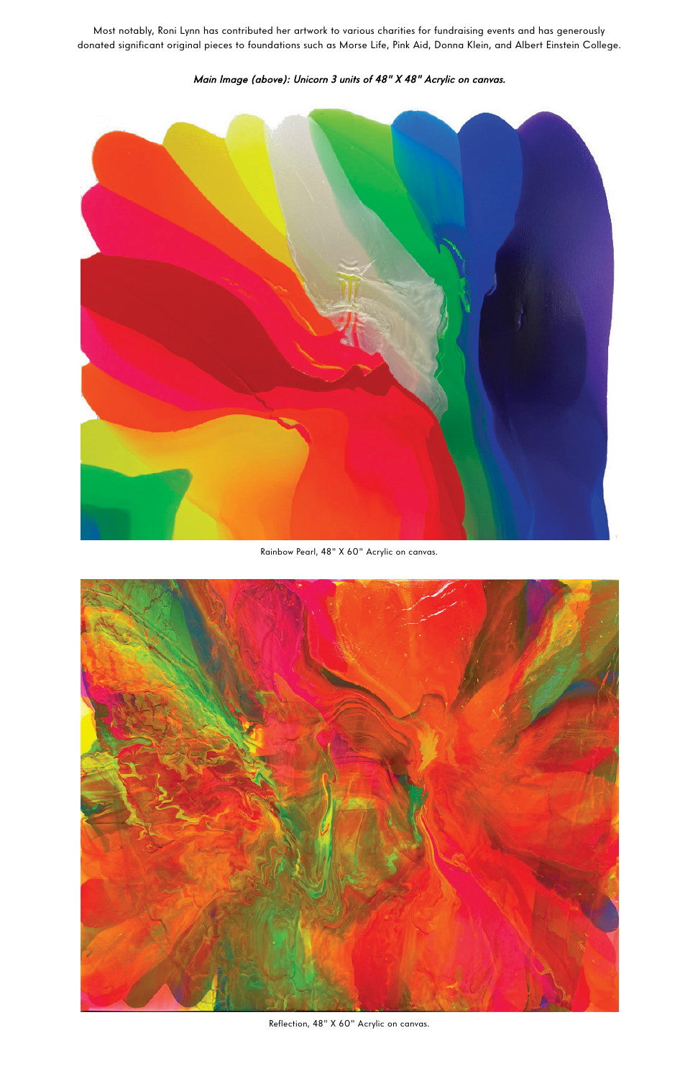Most notably, Roni Lynn has contributed her artwork to various charities for fundraising events and has generously donated significant original pieces to foundations such as Morse Life, Pink Aid, Donna Klein, and Albert Einstein College.



Main Image (above): Unicorn 3 units of 48" X 48" Acrylic on canvas.

Rainbow Pearl, 48" X 60" Acrylic on canvas.



Reflection, 48" X 60" Acrylic on canvas.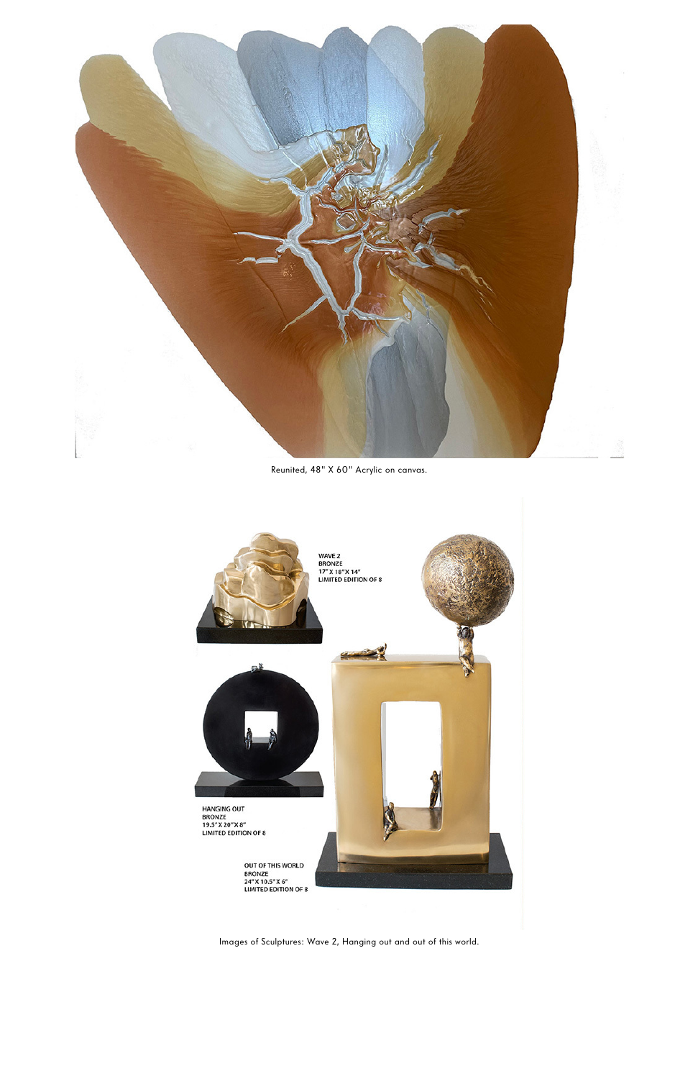

Reunited, 48" X 60" Acrylic on canvas.



Images of Sculptures: Wave 2, Hanging out and out of this world.